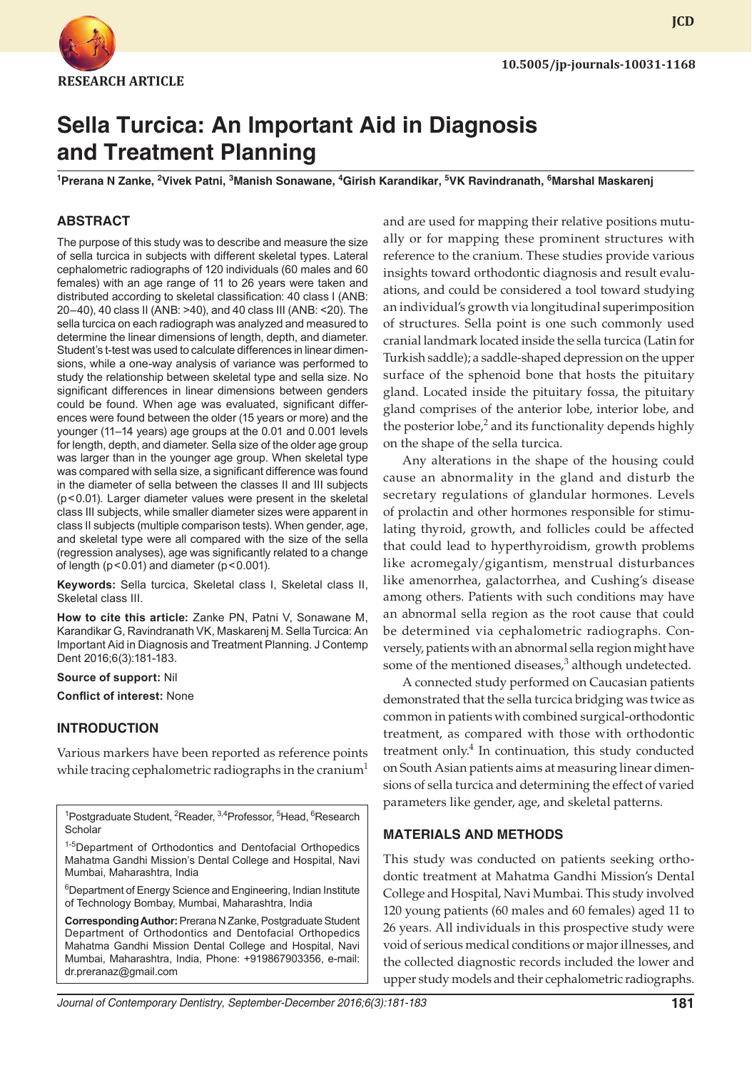

**JCD**

# **Sella Turcica: An Important Aid in Diagnosis and Treatment Planning**

**1 Prerana N Zanke, <sup>2</sup> Vivek Patni, 3 Manish Sonawane, 4 Girish Karandikar, 5 VK Ravindranath, 6 Marshal Maskarenj**

# **abstract**

The purpose of this study was to describe and measure the size of sella turcica in subjects with different skeletal types. Lateral cephalometric radiographs of 120 individuals (60 males and 60 females) with an age range of 11 to 26 years were taken and distributed according to skeletal classification: 40 class I (ANB: 20–40), 40 class II (ANB: >40), and 40 class III (ANB: <20). The sella turcica on each radiograph was analyzed and measured to determine the linear dimensions of length, depth, and diameter. Student's t-test was used to calculate differences in linear dimensions, while a one-way analysis of variance was performed to study the relationship between skeletal type and sella size. No significant differences in linear dimensions between genders could be found. When age was evaluated, significant differences were found between the older (15 years or more) and the younger (11–14 years) age groups at the 0.01 and 0.001 levels for length, depth, and diameter. Sella size of the older age group was larger than in the younger age group. When skeletal type was compared with sella size, a significant difference was found in the diameter of sella between the classes II and III subjects (p<0.01). Larger diameter values were present in the skeletal class III subjects, while smaller diameter sizes were apparent in class II subjects (multiple comparison tests). When gender, age, and skeletal type were all compared with the size of the sella (regression analyses), age was significantly related to a change of length ( $p < 0.01$ ) and diameter ( $p < 0.001$ ).

**Keywords:** Sella turcica, Skeletal class I, Skeletal class II, Skeletal class III.

**How to cite this article:** Zanke PN, Patni V, Sonawane M, Karandikar G, Ravindranath VK, Maskarenj M. Sella Turcica: An Important Aid in Diagnosis and Treatment Planning. J Contemp Dent 2016;6(3):181-183.

**Source of support:** Nil

**Conflict of interest:** None

# **INTRODUCTION**

Various markers have been reported as reference points while tracing cephalometric radiographs in the cranium<sup>1</sup>

<sup>1</sup>Postgraduate Student, <sup>2</sup>Reader, <sup>3,4</sup>Professor, <sup>5</sup>Head, <sup>6</sup>Research **Scholar** 

1-5Department of Orthodontics and Dentofacial Orthopedics Mahatma Gandhi Mission's Dental College and Hospital, Navi Mumbai, Maharashtra, India

6 Department of Energy Science and Engineering, Indian Institute of Technology Bombay, Mumbai, Maharashtra, India

**Corresponding Author:** Prerana N Zanke, Postgraduate Student Department of Orthodontics and Dentofacial Orthopedics Mahatma Gandhi Mission Dental College and Hospital, Navi Mumbai, Maharashtra, India, Phone: +919867903356, e-mail: dr.preranaz@gmail.com

and are used for mapping their relative positions mutually or for mapping these prominent structures with reference to the cranium. These studies provide various insights toward orthodontic diagnosis and result evaluations, and could be considered a tool toward studying an individual's growth via longitudinal superimposition of structures. Sella point is one such commonly used cranial landmark located inside the sella turcica (Latin for Turkish saddle); a saddle-shaped depression on the upper surface of the sphenoid bone that hosts the pituitary gland. Located inside the pituitary fossa, the pituitary gland comprises of the anterior lobe, interior lobe, and the posterior lobe, $^2$  and its functionality depends highly on the shape of the sella turcica.

Any alterations in the shape of the housing could cause an abnormality in the gland and disturb the secretary regulations of glandular hormones. Levels of prolactin and other hormones responsible for stimulating thyroid, growth, and follicles could be affected that could lead to hyperthyroidism, growth problems like acromegaly/gigantism, menstrual disturbances like amenorrhea, galactorrhea, and Cushing's disease among others. Patients with such conditions may have an abnormal sella region as the root cause that could be determined via cephalometric radiographs. Conversely, patients with an abnormal sella region might have some of the mentioned diseases, $3$  although undetected.

A connected study performed on Caucasian patients demonstrated that the sella turcica bridging was twice as common in patients with combined surgical-orthodontic treatment, as compared with those with orthodontic treatment only.<sup>4</sup> In continuation, this study conducted on South Asian patients aims at measuring linear dimensions of sella turcica and determining the effect of varied parameters like gender, age, and skeletal patterns.

#### **MATERIALS AND METHODS**

This study was conducted on patients seeking orthodontic treatment at Mahatma Gandhi Mission's Dental College and Hospital, Navi Mumbai. This study involved 120 young patients (60 males and 60 females) aged 11 to 26 years. All individuals in this prospective study were void of serious medical conditions or major illnesses, and the collected diagnostic records included the lower and upper study models and their cephalometric radiographs.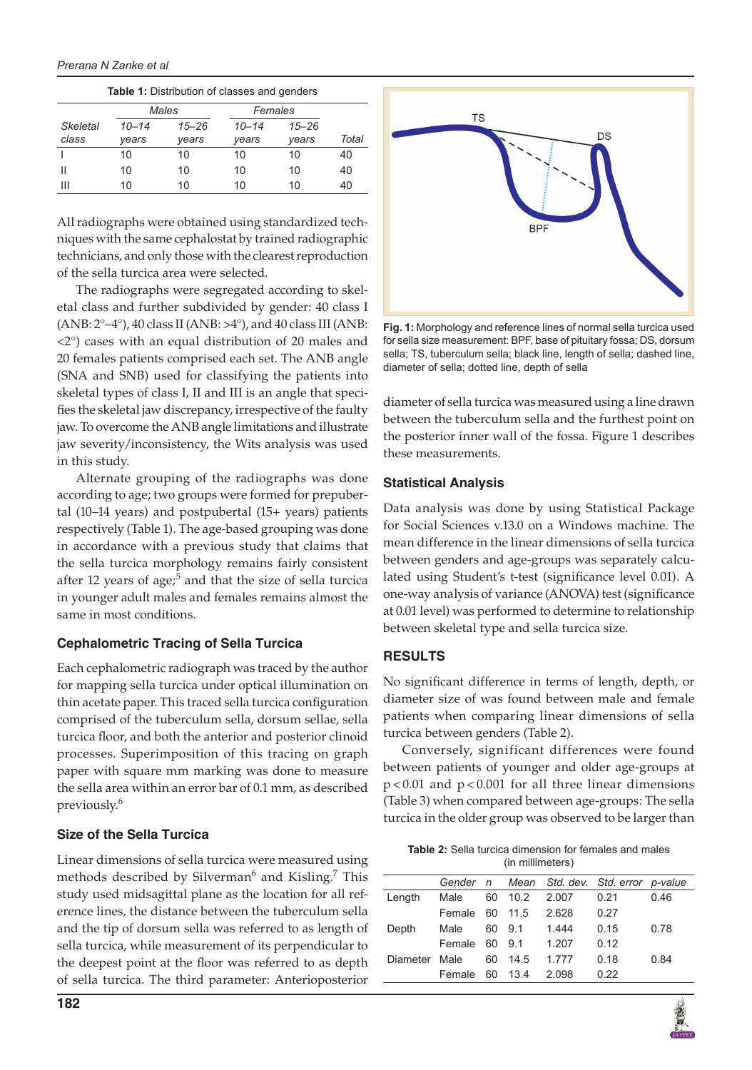**Table 1:** Distribution of classes and genders

|                 |           | Males     | Females   |           |       |  |
|-----------------|-----------|-----------|-----------|-----------|-------|--|
| <b>Skeletal</b> | $10 - 14$ | $15 - 26$ | $10 - 14$ | $15 - 26$ |       |  |
| class           | years     | years     | years     | years     | Total |  |
|                 | 10        | 10        | 10        | 10        | 40    |  |
| Ш               | 10        | 10        | 10        | 10        | 40    |  |
| Ш               | 10        | 10        | 10        | 10        | 40    |  |

All radiographs were obtained using standardized techniques with the same cephalostat by trained radiographic technicians, and only those with the clearest reproduction of the sella turcica area were selected.

The radiographs were segregated according to skeletal class and further subdivided by gender: 40 class I  $(ANB: 2^{\circ}-4^{\circ})$ , 40 class II  $(ANB: 54^{\circ})$ , and 40 class III  $(ANB: 54^{\circ})$ <2°) cases with an equal distribution of 20 males and 20 females patients comprised each set. The ANB angle (SNA and SNB) used for classifying the patients into skeletal types of class I, II and III is an angle that specifies the skeletal jaw discrepancy, irrespective of the faulty jaw. To overcome the ANB angle limitations and illustrate jaw severity/inconsistency, the Wits analysis was used in this study.

Alternate grouping of the radiographs was done according to age; two groups were formed for prepubertal (10–14 years) and postpubertal (15+ years) patients respectively (Table 1). The age-based grouping was done in accordance with a previous study that claims that the sella turcica morphology remains fairly consistent after 12 years of age;<sup>5</sup> and that the size of sella turcica in younger adult males and females remains almost the same in most conditions.

# **Cephalometric Tracing of Sella Turcica**

Each cephalometric radiograph was traced by the author for mapping sella turcica under optical illumination on thin acetate paper. This traced sella turcica configuration comprised of the tuberculum sella, dorsum sellae, sella turcica floor, and both the anterior and posterior clinoid processes. Superimposition of this tracing on graph paper with square mm marking was done to measure the sella area within an error bar of 0.1 mm, as described previously.6

# **Size of the Sella Turcica**

Linear dimensions of sella turcica were measured using methods described by Silverman<sup>6</sup> and Kisling.<sup>7</sup> This study used midsagittal plane as the location for all reference lines, the distance between the tuberculum sella and the tip of dorsum sella was referred to as length of sella turcica, while measurement of its perpendicular to the deepest point at the floor was referred to as depth of sella turcica. The third parameter: Anterioposterior



**Fig. 1:** Morphology and reference lines of normal sella turcica used for sella size measurement: BPF, base of pituitary fossa; DS, dorsum sella; TS, tuberculum sella; black line, length of sella; dashed line, diameter of sella; dotted line, depth of sella

diameter of sella turcica was measured using a line drawn between the tuberculum sella and the furthest point on the posterior inner wall of the fossa. Figure 1 describes these measurements.

#### **Statistical Analysis**

Data analysis was done by using Statistical Package for Social Sciences v.13.0 on a Windows machine. The mean difference in the linear dimensions of sella turcica between genders and age-groups was separately calculated using Student's t-test (significance level 0.01). A one-way analysis of variance (ANOVA) test (significance at 0.01 level) was performed to determine to relationship between skeletal type and sella turcica size.

# **RESULTS**

No significant difference in terms of length, depth, or diameter size of was found between male and female patients when comparing linear dimensions of sella turcica between genders (Table 2).

Conversely, significant differences were found between patients of younger and older age-groups at p < 0.01 and p < 0.001 for all three linear dimensions (Table 3) when compared between age-groups: The sella turcica in the older group was observed to be larger than

| <b>Table 2:</b> Sella turcica dimension for females and males |
|---------------------------------------------------------------|
| (in millimeters)                                              |

|               |                |    |         |       | Gender n Mean Std. dev. Std. error p-value |      |  |
|---------------|----------------|----|---------|-------|--------------------------------------------|------|--|
| Length        | Male           |    | 60 10.2 | 2.007 | 0.21                                       | 0.46 |  |
|               | Female 60 11.5 |    |         | 2.628 | 0.27                                       |      |  |
| Depth         | Male           |    | 60 9.1  | 1.444 | 0.15                                       | 0.78 |  |
|               | Female 60 9.1  |    |         | 1.207 | 0.12                                       |      |  |
| Diameter Male |                | 60 | 14.5    | 1.777 | 0.18                                       | 0.84 |  |
|               | Female         |    | 60 13.4 | 2.098 | 0.22                                       |      |  |
|               |                |    |         |       |                                            |      |  |